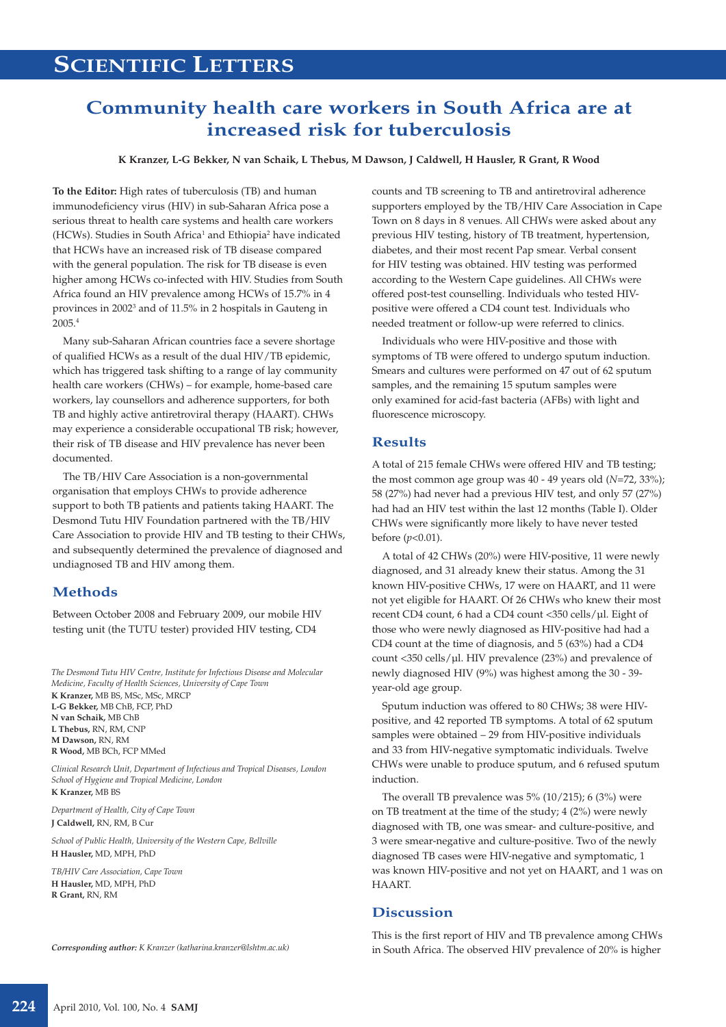# **Community health care workers in South Africa are at increased risk for tuberculosis**

**K Kranzer, L-G Bekker, N van Schaik, L Thebus, M Dawson, J Caldwell, H Hausler, R Grant, R Wood**

**To the Editor:** High rates of tuberculosis (TB) and human immunodeficiency virus (HIV) in sub-Saharan Africa pose a serious threat to health care systems and health care workers (HCWs). Studies in South Africa<sup>1</sup> and Ethiopia<sup>2</sup> have indicated that HCWs have an increased risk of TB disease compared with the general population. The risk for TB disease is even higher among HCWs co-infected with HIV. Studies from South Africa found an HIV prevalence among HCWs of 15.7% in 4 provinces in 2002<sup>3</sup> and of 11.5% in 2 hospitals in Gauteng in 2005.4

Many sub-Saharan African countries face a severe shortage of qualified HCWs as a result of the dual HIV/TB epidemic, which has triggered task shifting to a range of lay community health care workers (CHWs) – for example, home-based care workers, lay counsellors and adherence supporters, for both TB and highly active antiretroviral therapy (HAART). CHWs may experience a considerable occupational TB risk; however, their risk of TB disease and HIV prevalence has never been documented.

The TB/HIV Care Association is a non-governmental organisation that employs CHWs to provide adherence support to both TB patients and patients taking HAART. The Desmond Tutu HIV Foundation partnered with the TB/HIV Care Association to provide HIV and TB testing to their CHWs, and subsequently determined the prevalence of diagnosed and undiagnosed TB and HIV among them.

# **Methods**

Between October 2008 and February 2009, our mobile HIV testing unit (the TUTU tester) provided HIV testing, CD4

*The Desmond Tutu HIV Centre, Institute for Infectious Disease and Molecular Medicine, Faculty of Health Sciences, University of Cape Town* **K Kranzer,** MB BS, MSc, MSc, MRCP

**L-G Bekker,** MB ChB, FCP, PhD **N van Schaik,** MB ChB **L Thebus,** RN, RM, CNP **M Dawson,** RN, RM **R Wood,** MB BCh, FCP MMed

*Clinical Research Unit, Department of Infectious and Tropical Diseases, London School of Hygiene and Tropical Medicine, London* **K Kranzer,** MB BS

*Department of Health, City of Cape Town* **J Caldwell,** RN, RM, B Cur

*School of Public Health, University of the Western Cape, Bellville* **H Hausler,** MD, MPH, PhD

*TB/HIV Care Association, Cape Town* **H Hausler,** MD, MPH, PhD **R Grant,** RN, RM

*Corresponding author: K Kranzer (katharina.kranzer@lshtm.ac.uk)*

counts and TB screening to TB and antiretroviral adherence supporters employed by the TB/HIV Care Association in Cape Town on 8 days in 8 venues. All CHWs were asked about any previous HIV testing, history of TB treatment, hypertension, diabetes, and their most recent Pap smear. Verbal consent for HIV testing was obtained. HIV testing was performed according to the Western Cape guidelines. All CHWs were offered post-test counselling. Individuals who tested HIVpositive were offered a CD4 count test. Individuals who needed treatment or follow-up were referred to clinics.

Individuals who were HIV-positive and those with symptoms of TB were offered to undergo sputum induction. Smears and cultures were performed on 47 out of 62 sputum samples, and the remaining 15 sputum samples were only examined for acid-fast bacteria (AFBs) with light and fluorescence microscopy.

### **Results**

A total of 215 female CHWs were offered HIV and TB testing; the most common age group was 40 - 49 years old (*N*=72, 33%); 58 (27%) had never had a previous HIV test, and only 57 (27%) had had an HIV test within the last 12 months (Table I). Older CHWs were significantly more likely to have never tested before (*p*<0.01).

A total of 42 CHWs (20%) were HIV-positive, 11 were newly diagnosed, and 31 already knew their status. Among the 31 known HIV-positive CHWs, 17 were on HAART, and 11 were not yet eligible for HAART. Of 26 CHWs who knew their most recent CD4 count, 6 had a CD4 count <350 cells/µl. Eight of those who were newly diagnosed as HIV-positive had had a CD4 count at the time of diagnosis, and 5 (63%) had a CD4 count <350 cells/µl. HIV prevalence (23%) and prevalence of newly diagnosed HIV (9%) was highest among the 30 - 39 year-old age group.

Sputum induction was offered to 80 CHWs; 38 were HIVpositive, and 42 reported TB symptoms. A total of 62 sputum samples were obtained – 29 from HIV-positive individuals and 33 from HIV-negative symptomatic individuals. Twelve CHWs were unable to produce sputum, and 6 refused sputum induction.

The overall TB prevalence was 5% (10/215); 6 (3%) were on TB treatment at the time of the study; 4 (2%) were newly diagnosed with TB, one was smear- and culture-positive, and 3 were smear-negative and culture-positive. Two of the newly diagnosed TB cases were HIV-negative and symptomatic, 1 was known HIV-positive and not yet on HAART, and 1 was on HAART.

## **Discussion**

This is the first report of HIV and TB prevalence among CHWs in South Africa. The observed HIV prevalence of 20% is higher